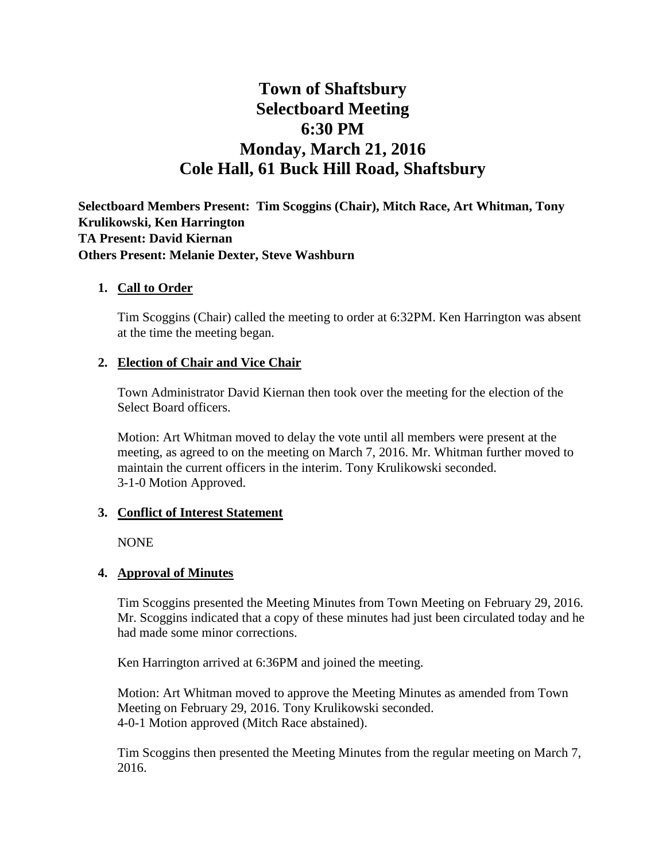# **Town of Shaftsbury Selectboard Meeting 6:30 PM Monday, March 21, 2016 Cole Hall, 61 Buck Hill Road, Shaftsbury**

**Selectboard Members Present: Tim Scoggins (Chair), Mitch Race, Art Whitman, Tony Krulikowski, Ken Harrington TA Present: David Kiernan Others Present: Melanie Dexter, Steve Washburn**

#### **1. Call to Order**

Tim Scoggins (Chair) called the meeting to order at 6:32PM. Ken Harrington was absent at the time the meeting began.

#### **2. Election of Chair and Vice Chair**

Town Administrator David Kiernan then took over the meeting for the election of the Select Board officers.

Motion: Art Whitman moved to delay the vote until all members were present at the meeting, as agreed to on the meeting on March 7, 2016. Mr. Whitman further moved to maintain the current officers in the interim. Tony Krulikowski seconded. 3-1-0 Motion Approved.

#### **3. Conflict of Interest Statement**

NONE

#### **4. Approval of Minutes**

Tim Scoggins presented the Meeting Minutes from Town Meeting on February 29, 2016. Mr. Scoggins indicated that a copy of these minutes had just been circulated today and he had made some minor corrections.

Ken Harrington arrived at 6:36PM and joined the meeting.

Motion: Art Whitman moved to approve the Meeting Minutes as amended from Town Meeting on February 29, 2016. Tony Krulikowski seconded. 4-0-1 Motion approved (Mitch Race abstained).

Tim Scoggins then presented the Meeting Minutes from the regular meeting on March 7, 2016.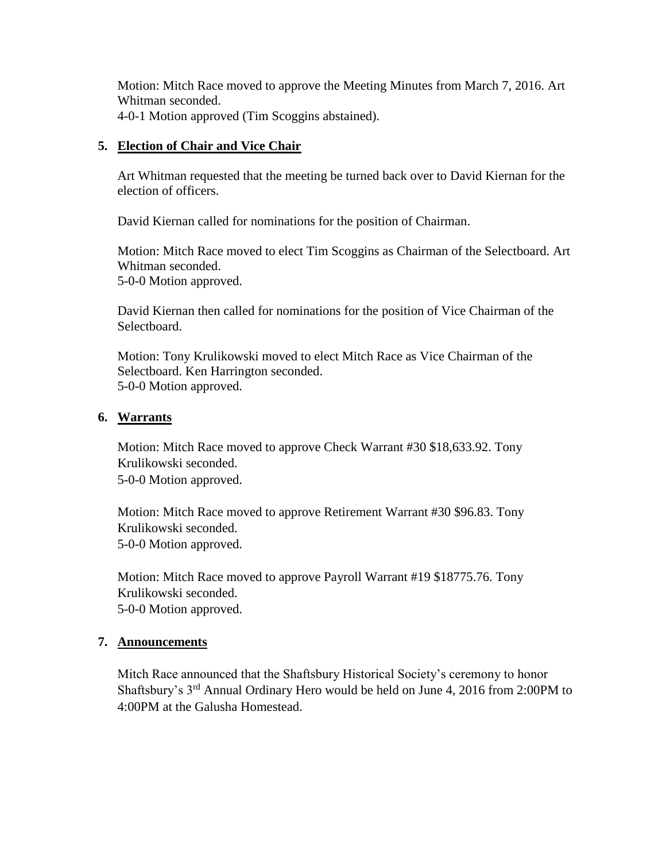Motion: Mitch Race moved to approve the Meeting Minutes from March 7, 2016. Art Whitman seconded. 4-0-1 Motion approved (Tim Scoggins abstained).

#### **5. Election of Chair and Vice Chair**

Art Whitman requested that the meeting be turned back over to David Kiernan for the election of officers.

David Kiernan called for nominations for the position of Chairman.

Motion: Mitch Race moved to elect Tim Scoggins as Chairman of the Selectboard. Art Whitman seconded. 5-0-0 Motion approved.

David Kiernan then called for nominations for the position of Vice Chairman of the Selectboard.

Motion: Tony Krulikowski moved to elect Mitch Race as Vice Chairman of the Selectboard. Ken Harrington seconded. 5-0-0 Motion approved.

#### **6. Warrants**

Motion: Mitch Race moved to approve Check Warrant #30 \$18,633.92. Tony Krulikowski seconded. 5-0-0 Motion approved.

Motion: Mitch Race moved to approve Retirement Warrant #30 \$96.83. Tony Krulikowski seconded. 5-0-0 Motion approved.

Motion: Mitch Race moved to approve Payroll Warrant #19 \$18775.76. Tony Krulikowski seconded. 5-0-0 Motion approved.

## **7. Announcements**

Mitch Race announced that the Shaftsbury Historical Society's ceremony to honor Shaftsbury's 3rd Annual Ordinary Hero would be held on June 4, 2016 from 2:00PM to 4:00PM at the Galusha Homestead.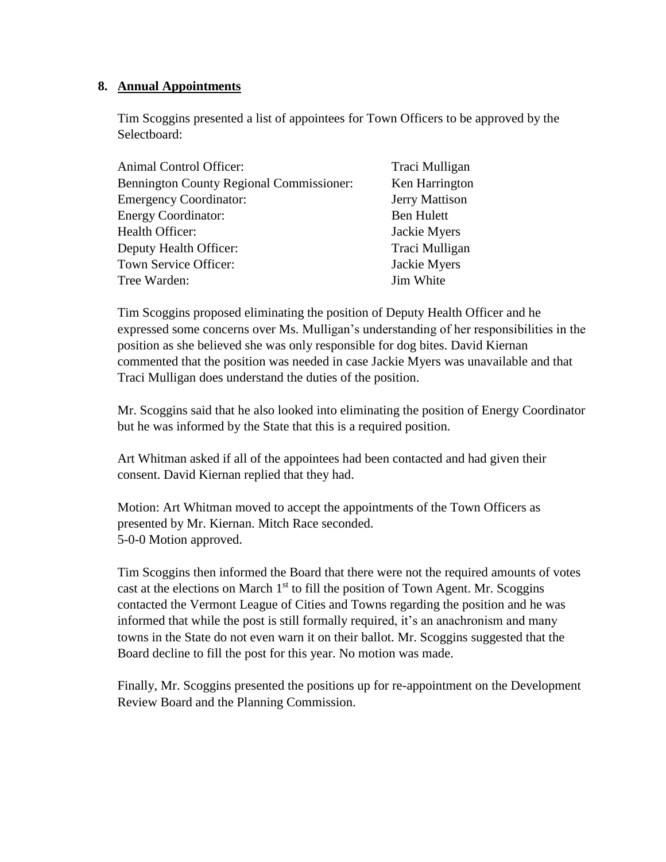#### **8. Annual Appointments**

Tim Scoggins presented a list of appointees for Town Officers to be approved by the Selectboard:

| Animal Control Officer:                         | Traci Mulligan        |
|-------------------------------------------------|-----------------------|
| <b>Bennington County Regional Commissioner:</b> | Ken Harrington        |
| <b>Emergency Coordinator:</b>                   | <b>Jerry Mattison</b> |
| <b>Energy Coordinator:</b>                      | <b>Ben Hulett</b>     |
| Health Officer:                                 | Jackie Myers          |
| Deputy Health Officer:                          | Traci Mulligan        |
| Town Service Officer:                           | Jackie Myers          |
| Tree Warden:                                    | Jim White             |

Tim Scoggins proposed eliminating the position of Deputy Health Officer and he expressed some concerns over Ms. Mulligan's understanding of her responsibilities in the position as she believed she was only responsible for dog bites. David Kiernan commented that the position was needed in case Jackie Myers was unavailable and that Traci Mulligan does understand the duties of the position.

Mr. Scoggins said that he also looked into eliminating the position of Energy Coordinator but he was informed by the State that this is a required position.

Art Whitman asked if all of the appointees had been contacted and had given their consent. David Kiernan replied that they had.

Motion: Art Whitman moved to accept the appointments of the Town Officers as presented by Mr. Kiernan. Mitch Race seconded. 5-0-0 Motion approved.

Tim Scoggins then informed the Board that there were not the required amounts of votes cast at the elections on March  $1<sup>st</sup>$  to fill the position of Town Agent. Mr. Scoggins contacted the Vermont League of Cities and Towns regarding the position and he was informed that while the post is still formally required, it's an anachronism and many towns in the State do not even warn it on their ballot. Mr. Scoggins suggested that the Board decline to fill the post for this year. No motion was made.

Finally, Mr. Scoggins presented the positions up for re-appointment on the Development Review Board and the Planning Commission.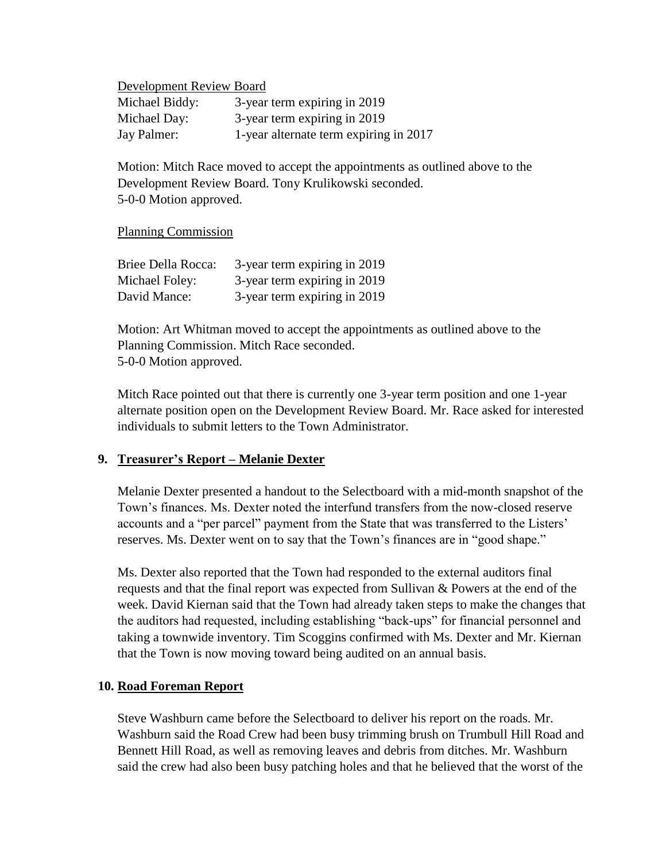Development Review Board

| Michael Biddy: | 3-year term expiring in 2019           |
|----------------|----------------------------------------|
| Michael Day:   | 3-year term expiring in 2019           |
| Jay Palmer:    | 1-year alternate term expiring in 2017 |

Motion: Mitch Race moved to accept the appointments as outlined above to the Development Review Board. Tony Krulikowski seconded. 5-0-0 Motion approved.

Planning Commission

| Briee Della Rocca: | 3-year term expiring in 2019 |
|--------------------|------------------------------|
| Michael Foley:     | 3-year term expiring in 2019 |
| David Mance:       | 3-year term expiring in 2019 |

Motion: Art Whitman moved to accept the appointments as outlined above to the Planning Commission. Mitch Race seconded. 5-0-0 Motion approved.

Mitch Race pointed out that there is currently one 3-year term position and one 1-year alternate position open on the Development Review Board. Mr. Race asked for interested individuals to submit letters to the Town Administrator.

## **9. Treasurer's Report – Melanie Dexter**

Melanie Dexter presented a handout to the Selectboard with a mid-month snapshot of the Town's finances. Ms. Dexter noted the interfund transfers from the now-closed reserve accounts and a "per parcel" payment from the State that was transferred to the Listers' reserves. Ms. Dexter went on to say that the Town's finances are in "good shape."

Ms. Dexter also reported that the Town had responded to the external auditors final requests and that the final report was expected from Sullivan & Powers at the end of the week. David Kiernan said that the Town had already taken steps to make the changes that the auditors had requested, including establishing "back-ups" for financial personnel and taking a townwide inventory. Tim Scoggins confirmed with Ms. Dexter and Mr. Kiernan that the Town is now moving toward being audited on an annual basis.

## **10. Road Foreman Report**

Steve Washburn came before the Selectboard to deliver his report on the roads. Mr. Washburn said the Road Crew had been busy trimming brush on Trumbull Hill Road and Bennett Hill Road, as well as removing leaves and debris from ditches. Mr. Washburn said the crew had also been busy patching holes and that he believed that the worst of the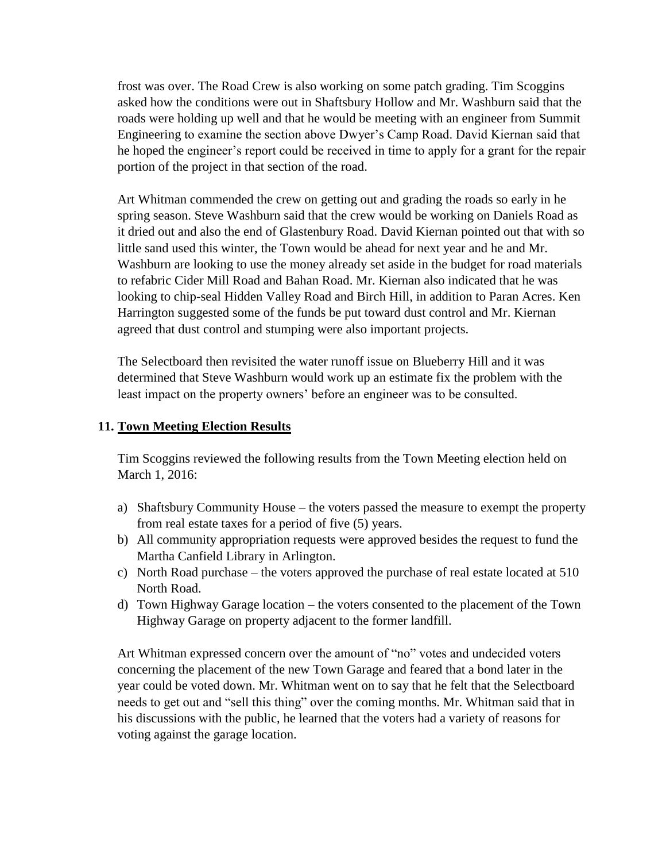frost was over. The Road Crew is also working on some patch grading. Tim Scoggins asked how the conditions were out in Shaftsbury Hollow and Mr. Washburn said that the roads were holding up well and that he would be meeting with an engineer from Summit Engineering to examine the section above Dwyer's Camp Road. David Kiernan said that he hoped the engineer's report could be received in time to apply for a grant for the repair portion of the project in that section of the road.

Art Whitman commended the crew on getting out and grading the roads so early in he spring season. Steve Washburn said that the crew would be working on Daniels Road as it dried out and also the end of Glastenbury Road. David Kiernan pointed out that with so little sand used this winter, the Town would be ahead for next year and he and Mr. Washburn are looking to use the money already set aside in the budget for road materials to refabric Cider Mill Road and Bahan Road. Mr. Kiernan also indicated that he was looking to chip-seal Hidden Valley Road and Birch Hill, in addition to Paran Acres. Ken Harrington suggested some of the funds be put toward dust control and Mr. Kiernan agreed that dust control and stumping were also important projects.

The Selectboard then revisited the water runoff issue on Blueberry Hill and it was determined that Steve Washburn would work up an estimate fix the problem with the least impact on the property owners' before an engineer was to be consulted.

#### **11. Town Meeting Election Results**

Tim Scoggins reviewed the following results from the Town Meeting election held on March 1, 2016:

- a) Shaftsbury Community House the voters passed the measure to exempt the property from real estate taxes for a period of five (5) years.
- b) All community appropriation requests were approved besides the request to fund the Martha Canfield Library in Arlington.
- c) North Road purchase the voters approved the purchase of real estate located at 510 North Road.
- d) Town Highway Garage location the voters consented to the placement of the Town Highway Garage on property adjacent to the former landfill.

Art Whitman expressed concern over the amount of "no" votes and undecided voters concerning the placement of the new Town Garage and feared that a bond later in the year could be voted down. Mr. Whitman went on to say that he felt that the Selectboard needs to get out and "sell this thing" over the coming months. Mr. Whitman said that in his discussions with the public, he learned that the voters had a variety of reasons for voting against the garage location.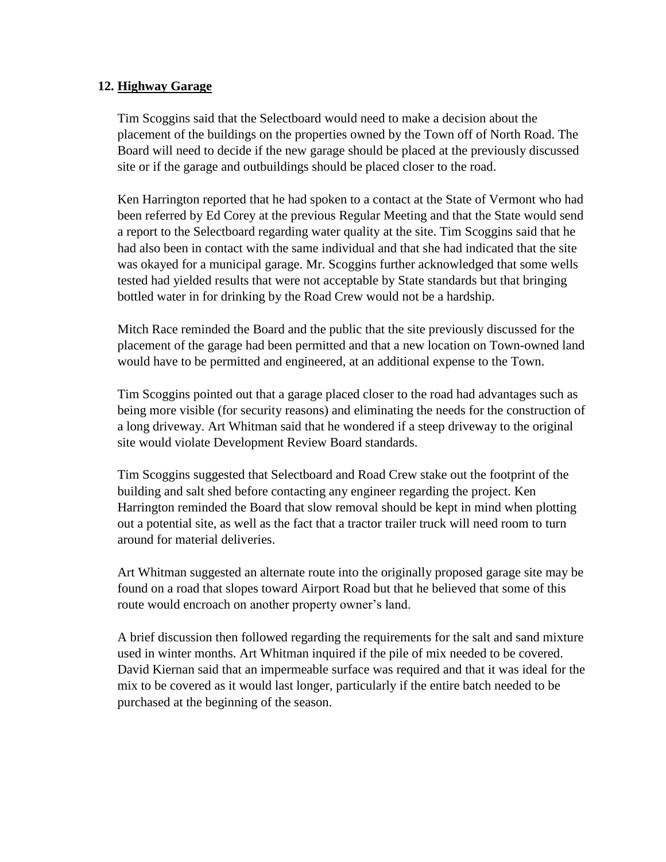## **12. Highway Garage**

Tim Scoggins said that the Selectboard would need to make a decision about the placement of the buildings on the properties owned by the Town off of North Road. The Board will need to decide if the new garage should be placed at the previously discussed site or if the garage and outbuildings should be placed closer to the road.

Ken Harrington reported that he had spoken to a contact at the State of Vermont who had been referred by Ed Corey at the previous Regular Meeting and that the State would send a report to the Selectboard regarding water quality at the site. Tim Scoggins said that he had also been in contact with the same individual and that she had indicated that the site was okayed for a municipal garage. Mr. Scoggins further acknowledged that some wells tested had yielded results that were not acceptable by State standards but that bringing bottled water in for drinking by the Road Crew would not be a hardship.

Mitch Race reminded the Board and the public that the site previously discussed for the placement of the garage had been permitted and that a new location on Town-owned land would have to be permitted and engineered, at an additional expense to the Town.

Tim Scoggins pointed out that a garage placed closer to the road had advantages such as being more visible (for security reasons) and eliminating the needs for the construction of a long driveway. Art Whitman said that he wondered if a steep driveway to the original site would violate Development Review Board standards.

Tim Scoggins suggested that Selectboard and Road Crew stake out the footprint of the building and salt shed before contacting any engineer regarding the project. Ken Harrington reminded the Board that slow removal should be kept in mind when plotting out a potential site, as well as the fact that a tractor trailer truck will need room to turn around for material deliveries.

Art Whitman suggested an alternate route into the originally proposed garage site may be found on a road that slopes toward Airport Road but that he believed that some of this route would encroach on another property owner's land.

A brief discussion then followed regarding the requirements for the salt and sand mixture used in winter months. Art Whitman inquired if the pile of mix needed to be covered. David Kiernan said that an impermeable surface was required and that it was ideal for the mix to be covered as it would last longer, particularly if the entire batch needed to be purchased at the beginning of the season.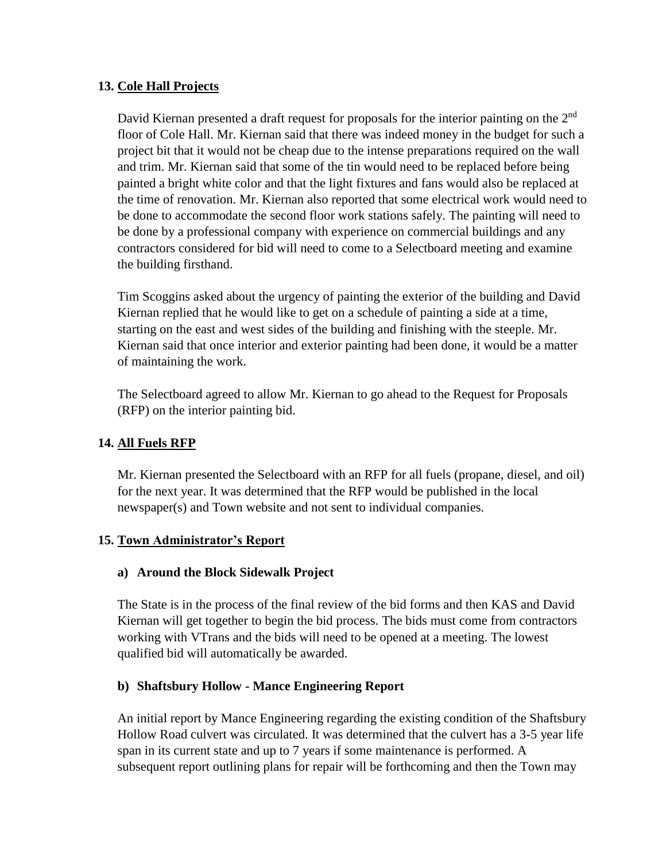## **13. Cole Hall Projects**

David Kiernan presented a draft request for proposals for the interior painting on the 2<sup>nd</sup> floor of Cole Hall. Mr. Kiernan said that there was indeed money in the budget for such a project bit that it would not be cheap due to the intense preparations required on the wall and trim. Mr. Kiernan said that some of the tin would need to be replaced before being painted a bright white color and that the light fixtures and fans would also be replaced at the time of renovation. Mr. Kiernan also reported that some electrical work would need to be done to accommodate the second floor work stations safely. The painting will need to be done by a professional company with experience on commercial buildings and any contractors considered for bid will need to come to a Selectboard meeting and examine the building firsthand.

Tim Scoggins asked about the urgency of painting the exterior of the building and David Kiernan replied that he would like to get on a schedule of painting a side at a time, starting on the east and west sides of the building and finishing with the steeple. Mr. Kiernan said that once interior and exterior painting had been done, it would be a matter of maintaining the work.

The Selectboard agreed to allow Mr. Kiernan to go ahead to the Request for Proposals (RFP) on the interior painting bid.

## **14. All Fuels RFP**

Mr. Kiernan presented the Selectboard with an RFP for all fuels (propane, diesel, and oil) for the next year. It was determined that the RFP would be published in the local newspaper(s) and Town website and not sent to individual companies.

## **15. Town Administrator's Report**

#### **a) Around the Block Sidewalk Project**

The State is in the process of the final review of the bid forms and then KAS and David Kiernan will get together to begin the bid process. The bids must come from contractors working with VTrans and the bids will need to be opened at a meeting. The lowest qualified bid will automatically be awarded.

#### **b) Shaftsbury Hollow - Mance Engineering Report**

An initial report by Mance Engineering regarding the existing condition of the Shaftsbury Hollow Road culvert was circulated. It was determined that the culvert has a 3-5 year life span in its current state and up to 7 years if some maintenance is performed. A subsequent report outlining plans for repair will be forthcoming and then the Town may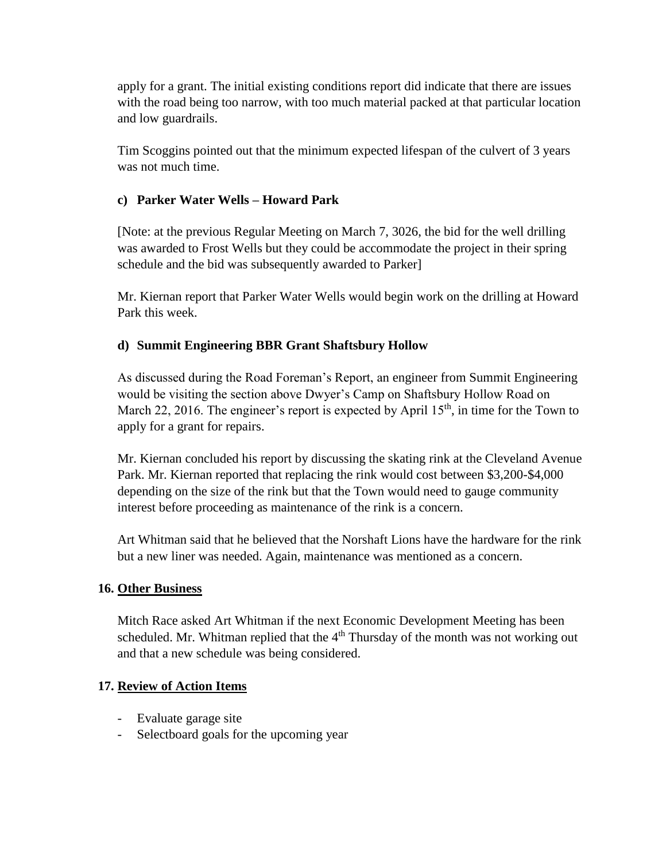apply for a grant. The initial existing conditions report did indicate that there are issues with the road being too narrow, with too much material packed at that particular location and low guardrails.

Tim Scoggins pointed out that the minimum expected lifespan of the culvert of 3 years was not much time.

## **c) Parker Water Wells – Howard Park**

[Note: at the previous Regular Meeting on March 7, 3026, the bid for the well drilling was awarded to Frost Wells but they could be accommodate the project in their spring schedule and the bid was subsequently awarded to Parker]

Mr. Kiernan report that Parker Water Wells would begin work on the drilling at Howard Park this week.

## **d) Summit Engineering BBR Grant Shaftsbury Hollow**

As discussed during the Road Foreman's Report, an engineer from Summit Engineering would be visiting the section above Dwyer's Camp on Shaftsbury Hollow Road on March 22, 2016. The engineer's report is expected by April  $15<sup>th</sup>$ , in time for the Town to apply for a grant for repairs.

Mr. Kiernan concluded his report by discussing the skating rink at the Cleveland Avenue Park. Mr. Kiernan reported that replacing the rink would cost between \$3,200-\$4,000 depending on the size of the rink but that the Town would need to gauge community interest before proceeding as maintenance of the rink is a concern.

Art Whitman said that he believed that the Norshaft Lions have the hardware for the rink but a new liner was needed. Again, maintenance was mentioned as a concern.

## **16. Other Business**

Mitch Race asked Art Whitman if the next Economic Development Meeting has been scheduled. Mr. Whitman replied that the  $4<sup>th</sup>$  Thursday of the month was not working out and that a new schedule was being considered.

## **17. Review of Action Items**

- Evaluate garage site
- Selectboard goals for the upcoming year